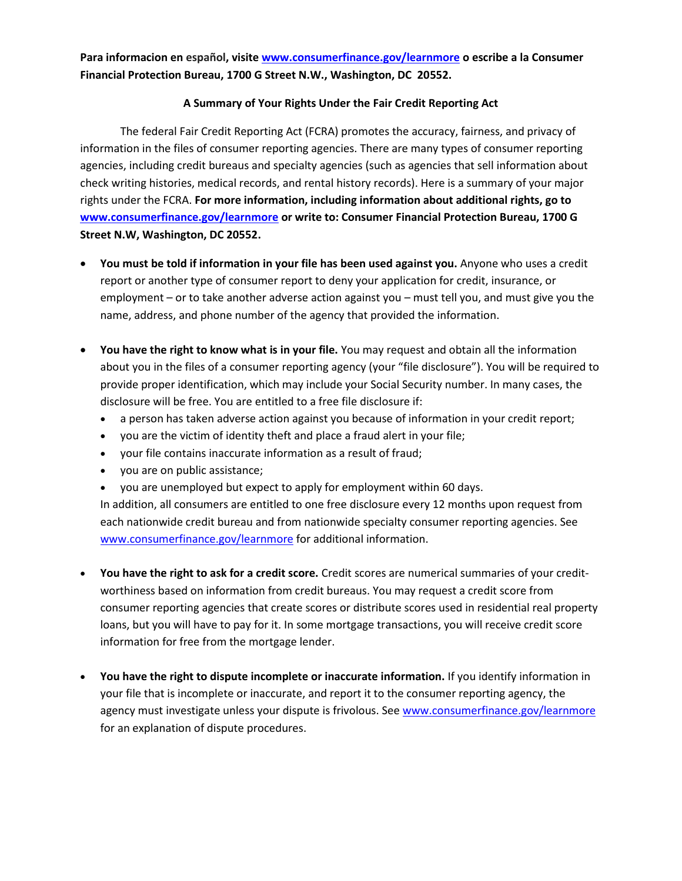**Para informacion en español, visite [www.consumerfinance.gov/learnmore](http://www.consumerfinance.gov/learnmore) o escribe a la Consumer Financial Protection Bureau, 1700 G Street N.W., Washington, DC 20552.**

## **A Summary of Your Rights Under the Fair Credit Reporting Act**

The federal Fair Credit Reporting Act (FCRA) promotes the accuracy, fairness, and privacy of information in the files of consumer reporting agencies. There are many types of consumer reporting agencies, including credit bureaus and specialty agencies (such as agencies that sell information about check writing histories, medical records, and rental history records). Here is a summary of your major rights under the FCRA. **For more information, including information about additional rights, go to [www.consumerfinance.gov/learnmore](http://www.consumerfinance.gov/learnmore) or write to: Consumer Financial Protection Bureau, 1700 G Street N.W, Washington, DC 20552.**

- **You must be told if information in your file has been used against you.** Anyone who uses a credit report or another type of consumer report to deny your application for credit, insurance, or employment – or to take another adverse action against you – must tell you, and must give you the name, address, and phone number of the agency that provided the information.
- **You have the right to know what is in your file.** You may request and obtain all the information about you in the files of a consumer reporting agency (your "file disclosure"). You will be required to provide proper identification, which may include your Social Security number. In many cases, the disclosure will be free. You are entitled to a free file disclosure if:
	- a person has taken adverse action against you because of information in your credit report;
	- you are the victim of identity theft and place a fraud alert in your file;
	- your file contains inaccurate information as a result of fraud;
	- you are on public assistance;
	- you are unemployed but expect to apply for employment within 60 days.

In addition, all consumers are entitled to one free disclosure every 12 months upon request from each nationwide credit bureau and from nationwide specialty consumer reporting agencies. See [www.consumerfinance.gov/learnmore](http://www.consumerfinance.gov/learnmore) for additional information.

- **You have the right to ask for a credit score.** Credit scores are numerical summaries of your creditworthiness based on information from credit bureaus. You may request a credit score from consumer reporting agencies that create scores or distribute scores used in residential real property loans, but you will have to pay for it. In some mortgage transactions, you will receive credit score information for free from the mortgage lender.
- **You have the right to dispute incomplete or inaccurate information.** If you identify information in your file that is incomplete or inaccurate, and report it to the consumer reporting agency, the agency must investigate unless your dispute is frivolous. Se[e www.consumerfinance.gov/learnmore](http://www.consumerfinance.gov/learnmore) for an explanation of dispute procedures.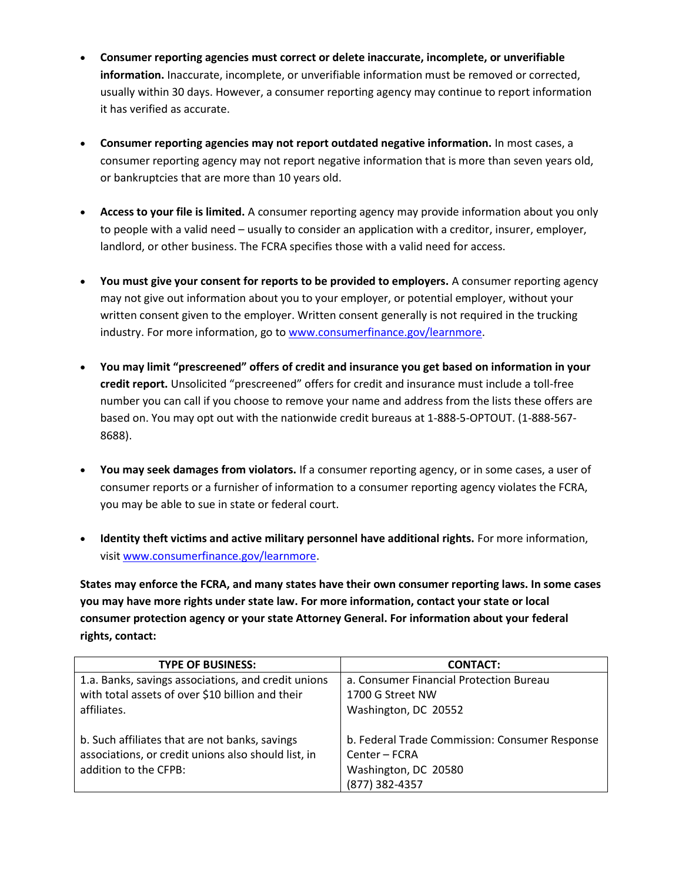- **Consumer reporting agencies must correct or delete inaccurate, incomplete, or unverifiable information.** Inaccurate, incomplete, or unverifiable information must be removed or corrected, usually within 30 days. However, a consumer reporting agency may continue to report information it has verified as accurate.
- **Consumer reporting agencies may not report outdated negative information.** In most cases, a consumer reporting agency may not report negative information that is more than seven years old, or bankruptcies that are more than 10 years old.
- **Access to your file is limited.** A consumer reporting agency may provide information about you only to people with a valid need – usually to consider an application with a creditor, insurer, employer, landlord, or other business. The FCRA specifies those with a valid need for access.
- **You must give your consent for reports to be provided to employers.** A consumer reporting agency may not give out information about you to your employer, or potential employer, without your written consent given to the employer. Written consent generally is not required in the trucking industry. For more information, go to [www.consumerfinance.gov/learnmore.](http://www.consumerfinance.gov/learnmore)
- **You may limit "prescreened" offers of credit and insurance you get based on information in your credit report.** Unsolicited "prescreened" offers for credit and insurance must include a toll-free number you can call if you choose to remove your name and address from the lists these offers are based on. You may opt out with the nationwide credit bureaus at 1-888-5-OPTOUT. (1-888-567- 8688).
- **You may seek damages from violators.** If a consumer reporting agency, or in some cases, a user of consumer reports or a furnisher of information to a consumer reporting agency violates the FCRA, you may be able to sue in state or federal court.
- **Identity theft victims and active military personnel have additional rights.** For more information, visi[t www.consumerfinance.gov/learnmore.](http://www.consumerfinance.gov/learnmore)

**States may enforce the FCRA, and many states have their own consumer reporting laws. In some cases you may have more rights under state law. For more information, contact your state or local consumer protection agency or your state Attorney General. For information about your federal rights, contact:** 

| <b>TYPE OF BUSINESS:</b>                            | <b>CONTACT:</b>                                |
|-----------------------------------------------------|------------------------------------------------|
| 1.a. Banks, savings associations, and credit unions | a. Consumer Financial Protection Bureau        |
| with total assets of over \$10 billion and their    | 1700 G Street NW                               |
| affiliates.                                         | Washington, DC 20552                           |
|                                                     |                                                |
| b. Such affiliates that are not banks, savings      | b. Federal Trade Commission: Consumer Response |
| associations, or credit unions also should list, in | Center - FCRA                                  |
| addition to the CFPB:                               | Washington, DC 20580                           |
|                                                     | (877) 382-4357                                 |